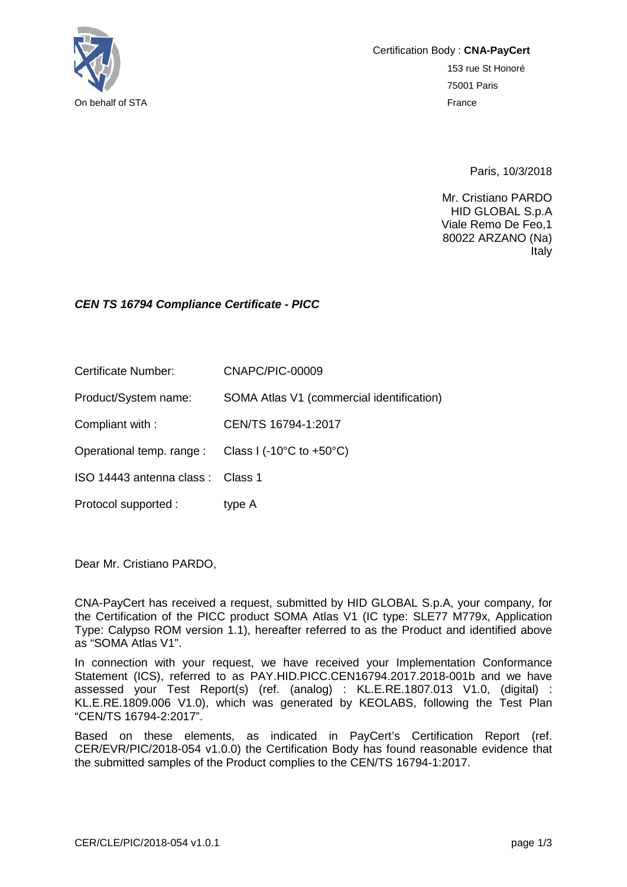

Certification Body : **CNA-PayCert** 153 rue St Honoré 75001 Paris

Paris, 10/3/2018

Mr. Cristiano PARDO HID GLOBAL S.p.A Viale Remo De Feo,1 80022 ARZANO (Na) Italy

## *CEN TS 16794 Compliance Certificate - PICC*

Certificate Number: CNAPC/PIC-00009

Product/System name: SOMA Atlas V1 (commercial identification)

Compliant with : CEN/TS 16794-1:2017

Operational temp. range : Class I (-10°C to +50°C)

ISO 14443 antenna class : Class 1

Protocol supported : type A

Dear Mr. Cristiano PARDO,

CNA-PayCert has received a request, submitted by HID GLOBAL S.p.A, your company, for the Certification of the PICC product SOMA Atlas V1 (IC type: SLE77 M779x, Application Type: Calypso ROM version 1.1), hereafter referred to as the Product and identified above as "SOMA Atlas V1".

In connection with your request, we have received your Implementation Conformance Statement (ICS), referred to as PAY.HID.PICC.CEN16794.2017.2018-001b and we have assessed your Test Report(s) (ref. (analog) : KL.E.RE.1807.013 V1.0, (digital) : KL.E.RE.1809.006 V1.0), which was generated by KEOLABS, following the Test Plan "CEN/TS 16794-2:2017".

Based on these elements, as indicated in PayCert's Certification Report (ref. CER/EVR/PIC/2018-054 v1.0.0) the Certification Body has found reasonable evidence that the submitted samples of the Product complies to the CEN/TS 16794-1:2017.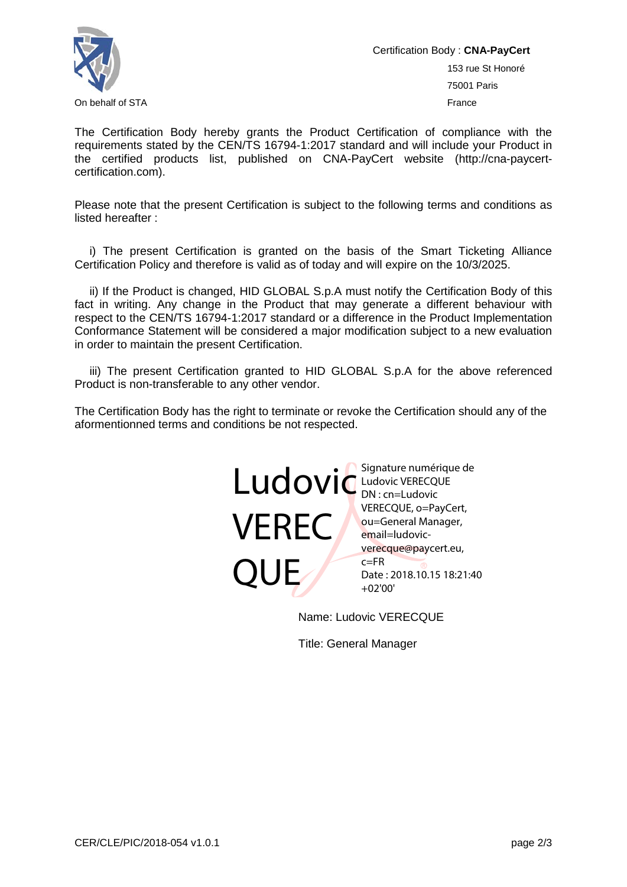

Certification Body : **CNA-PayCert**

153 rue St Honoré 75001 Paris

The Certification Body hereby grants the Product Certification of compliance with the requirements stated by the CEN/TS 16794-1:2017 standard and will include your Product in the certified products list, published on CNA-PayCert website (http://cna-paycertcertification.com).

Please note that the present Certification is subject to the following terms and conditions as listed hereafter :

i) The present Certification is granted on the basis of the Smart Ticketing Alliance Certification Policy and therefore is valid as of today and will expire on the 10/3/2025.

ii) If the Product is changed, HID GLOBAL S.p.A must notify the Certification Body of this fact in writing. Any change in the Product that may generate a different behaviour with respect to the CEN/TS 16794-1:2017 standard or a difference in the Product Implementation Conformance Statement will be considered a major modification subject to a new evaluation in order to maintain the present Certification.

iii) The present Certification granted to HID GLOBAL S.p.A for the above referenced Product is non-transferable to any other vendor.

The Certification Body has the right to terminate or revoke the Certification should any of the aformentionned terms and conditions be not respected.



Name: Ludovic VERECQUE

Title: General Manager